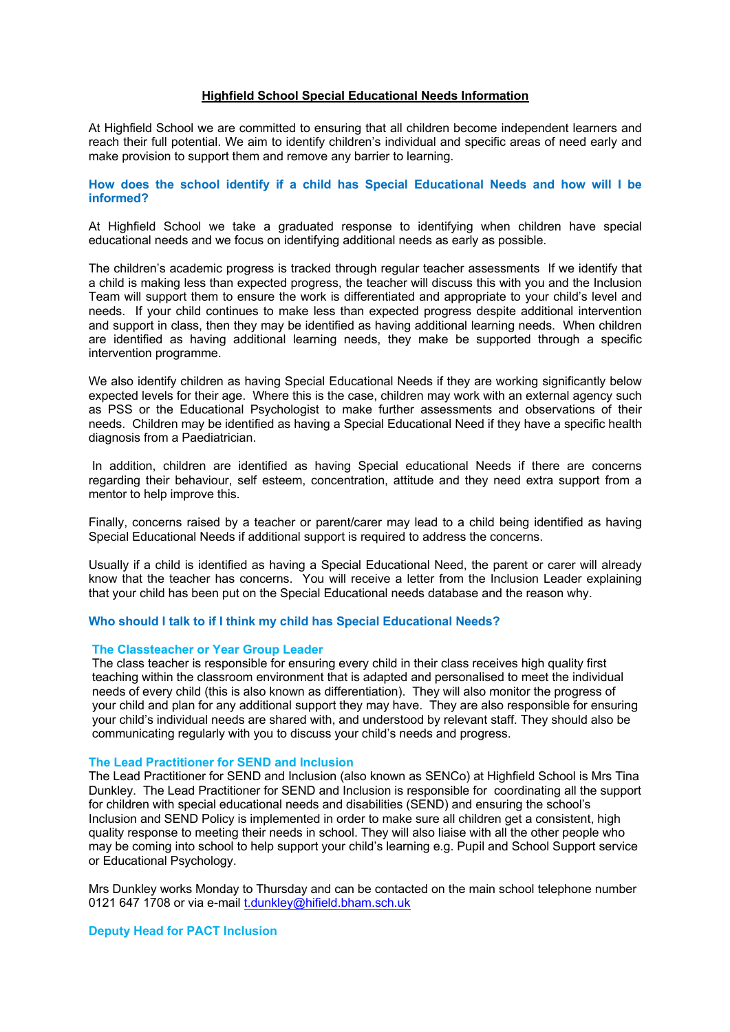### **Highfield School Special Educational Needs Information**

At Highfield School we are committed to ensuring that all children become independent learners and reach their full potential. We aim to identify children's individual and specific areas of need early and make provision to support them and remove any barrier to learning.

## **How does the school identify if a child has Special Educational Needs and how will I be informed?**

At Highfield School we take a graduated response to identifying when children have special educational needs and we focus on identifying additional needs as early as possible.

The children's academic progress is tracked through regular teacher assessments If we identify that a child is making less than expected progress, the teacher will discuss this with you and the Inclusion Team will support them to ensure the work is differentiated and appropriate to your child's level and needs. If your child continues to make less than expected progress despite additional intervention and support in class, then they may be identified as having additional learning needs. When children are identified as having additional learning needs, they make be supported through a specific intervention programme.

We also identify children as having Special Educational Needs if they are working significantly below expected levels for their age. Where this is the case, children may work with an external agency such as PSS or the Educational Psychologist to make further assessments and observations of their needs. Children may be identified as having a Special Educational Need if they have a specific health diagnosis from a Paediatrician.

In addition, children are identified as having Special educational Needs if there are concerns regarding their behaviour, self esteem, concentration, attitude and they need extra support from a mentor to help improve this.

Finally, concerns raised by a teacher or parent/carer may lead to a child being identified as having Special Educational Needs if additional support is required to address the concerns.

Usually if a child is identified as having a Special Educational Need, the parent or carer will already know that the teacher has concerns. You will receive a letter from the Inclusion Leader explaining that your child has been put on the Special Educational needs database and the reason why.

## **Who should I talk to if I think my child has Special Educational Needs?**

#### **The Classteacher or Year Group Leader**

The class teacher is responsible for ensuring every child in their class receives high quality first teaching within the classroom environment that is adapted and personalised to meet the individual needs of every child (this is also known as differentiation). They will also monitor the progress of your child and plan for any additional support they may have. They are also responsible for ensuring your child's individual needs are shared with, and understood by relevant staff. They should also be communicating regularly with you to discuss your child's needs and progress.

#### **The Lead Practitioner for SEND and Inclusion**

The Lead Practitioner for SEND and Inclusion (also known as SENCo) at Highfield School is Mrs Tina Dunkley. The Lead Practitioner for SEND and Inclusion is responsible for coordinating all the support for children with special educational needs and disabilities (SEND) and ensuring the school's Inclusion and SEND Policy is implemented in order to make sure all children get a consistent, high quality response to meeting their needs in school. They will also liaise with all the other people who may be coming into school to help support your child's learning e.g. Pupil and School Support service or Educational Psychology.

Mrs Dunkley works Monday to Thursday and can be contacted on the main school telephone number 0121 647 1708 or via e-mail t.dunkley@hifield.bham.sch.uk

#### **Deputy Head for PACT Inclusion**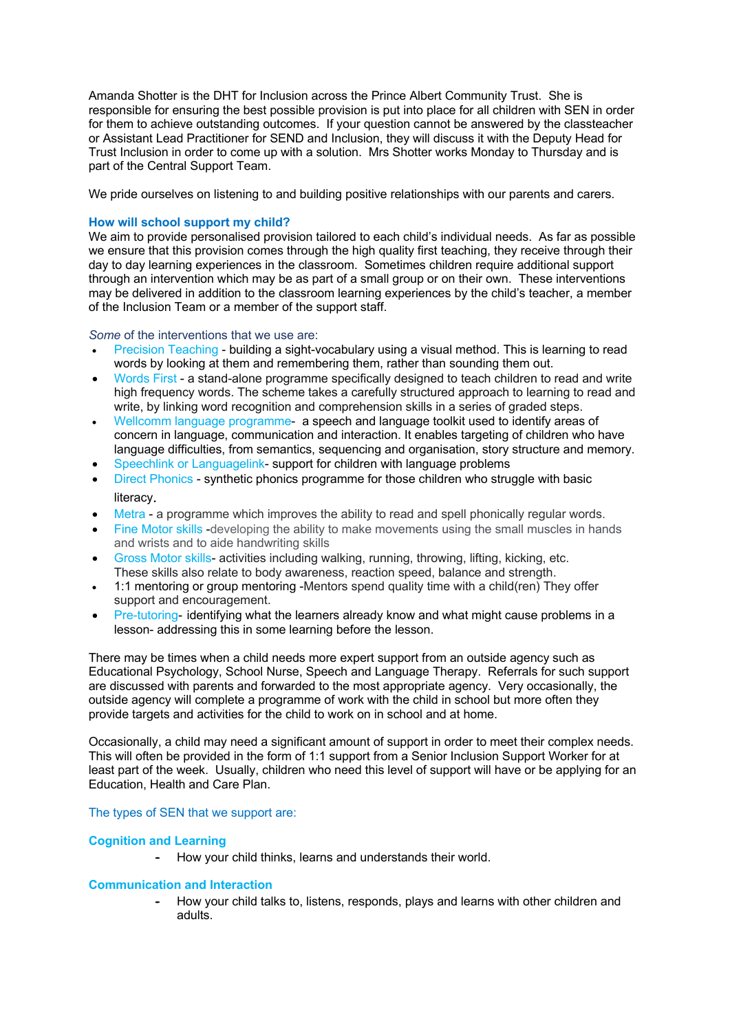Amanda Shotter is the DHT for Inclusion across the Prince Albert Community Trust. She is responsible for ensuring the best possible provision is put into place for all children with SEN in order for them to achieve outstanding outcomes. If your question cannot be answered by the classteacher or Assistant Lead Practitioner for SEND and Inclusion, they will discuss it with the Deputy Head for Trust Inclusion in order to come up with a solution. Mrs Shotter works Monday to Thursday and is part of the Central Support Team.

We pride ourselves on listening to and building positive relationships with our parents and carers.

## **How will school support my child?**

We aim to provide personalised provision tailored to each child's individual needs. As far as possible we ensure that this provision comes through the high quality first teaching, they receive through their day to day learning experiences in the classroom. Sometimes children require additional support through an intervention which may be as part of a small group or on their own. These interventions may be delivered in addition to the classroom learning experiences by the child's teacher, a member of the Inclusion Team or a member of the support staff.

*Some* of the interventions that we use are:

- Precision Teaching building a sight-vocabulary using a visual method. This is learning to read words by looking at them and remembering them, rather than sounding them out.
- Words First a stand-alone programme specifically designed to teach children to read and write high frequency words. The scheme takes a carefully structured approach to learning to read and write, by linking word recognition and comprehension skills in a series of graded steps.
- Wellcomm language programme- a speech and language toolkit used to identify areas of concern in language, communication and interaction. It enables targeting of children who have language difficulties, from semantics, sequencing and organisation, story structure and memory.
- Speechlink or Languagelink- support for children with language problems
- Direct Phonics synthetic phonics programme for those children who struggle with basic literacy.
- Metra a programme which improves the ability to read and spell phonically regular words.
- Fine Motor skills -developing the ability to make movements using the small muscles in hands and wrists and to aide handwriting skills
- Gross Motor skills- activities including walking, running, throwing, lifting, kicking, etc. These skills also relate to body awareness, reaction speed, balance and strength.
- 1:1 mentoring or group mentoring -Mentors spend quality time with a child(ren) They offer support and encouragement.
- Pre-tutoring- identifying what the learners already know and what might cause problems in a lesson- addressing this in some learning before the lesson.

There may be times when a child needs more expert support from an outside agency such as Educational Psychology, School Nurse, Speech and Language Therapy. Referrals for such support are discussed with parents and forwarded to the most appropriate agency. Very occasionally, the outside agency will complete a programme of work with the child in school but more often they provide targets and activities for the child to work on in school and at home.

Occasionally, a child may need a significant amount of support in order to meet their complex needs. This will often be provided in the form of 1:1 support from a Senior Inclusion Support Worker for at least part of the week. Usually, children who need this level of support will have or be applying for an Education, Health and Care Plan.

## The types of SEN that we support are:

## **Cognition and Learning**

- How your child thinks, learns and understands their world.

## **Communication and Interaction**

- How your child talks to, listens, responds, plays and learns with other children and adults.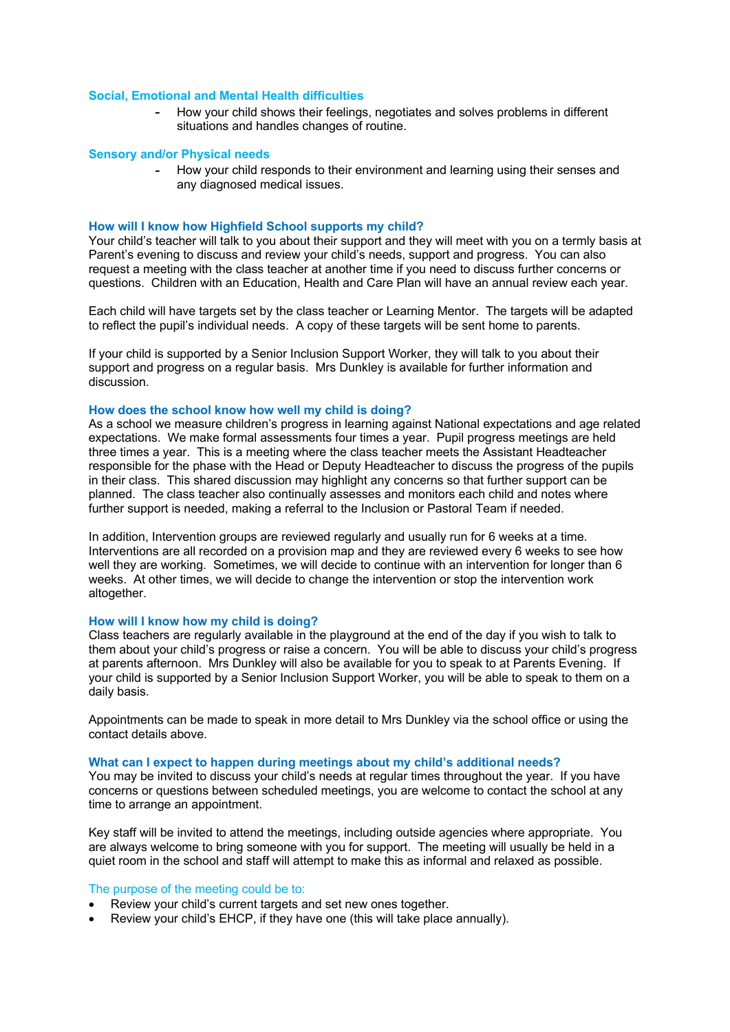## **Social, Emotional and Mental Health difficulties**

- How your child shows their feelings, negotiates and solves problems in different situations and handles changes of routine.

## **Sensory and/or Physical needs**

- How your child responds to their environment and learning using their senses and any diagnosed medical issues.

### **How will I know how Highfield School supports my child?**

Your child's teacher will talk to you about their support and they will meet with you on a termly basis at Parent's evening to discuss and review your child's needs, support and progress. You can also request a meeting with the class teacher at another time if you need to discuss further concerns or questions. Children with an Education, Health and Care Plan will have an annual review each year.

Each child will have targets set by the class teacher or Learning Mentor. The targets will be adapted to reflect the pupil's individual needs. A copy of these targets will be sent home to parents.

If your child is supported by a Senior Inclusion Support Worker, they will talk to you about their support and progress on a regular basis. Mrs Dunkley is available for further information and discussion.

## **How does the school know how well my child is doing?**

As a school we measure children's progress in learning against National expectations and age related expectations. We make formal assessments four times a year. Pupil progress meetings are held three times a year. This is a meeting where the class teacher meets the Assistant Headteacher responsible for the phase with the Head or Deputy Headteacher to discuss the progress of the pupils in their class. This shared discussion may highlight any concerns so that further support can be planned. The class teacher also continually assesses and monitors each child and notes where further support is needed, making a referral to the Inclusion or Pastoral Team if needed.

In addition, Intervention groups are reviewed regularly and usually run for 6 weeks at a time. Interventions are all recorded on a provision map and they are reviewed every 6 weeks to see how well they are working. Sometimes, we will decide to continue with an intervention for longer than 6 weeks. At other times, we will decide to change the intervention or stop the intervention work altogether.

#### **How will I know how my child is doing?**

Class teachers are regularly available in the playground at the end of the day if you wish to talk to them about your child's progress or raise a concern. You will be able to discuss your child's progress at parents afternoon. Mrs Dunkley will also be available for you to speak to at Parents Evening. If your child is supported by a Senior Inclusion Support Worker, you will be able to speak to them on a daily basis.

Appointments can be made to speak in more detail to Mrs Dunkley via the school office or using the contact details above.

## **What can I expect to happen during meetings about my child's additional needs?**

You may be invited to discuss your child's needs at regular times throughout the year. If you have concerns or questions between scheduled meetings, you are welcome to contact the school at any time to arrange an appointment.

Key staff will be invited to attend the meetings, including outside agencies where appropriate. You are always welcome to bring someone with you for support. The meeting will usually be held in a quiet room in the school and staff will attempt to make this as informal and relaxed as possible.

#### The purpose of the meeting could be to:

- Review your child's current targets and set new ones together.
- Review your child's EHCP, if they have one (this will take place annually).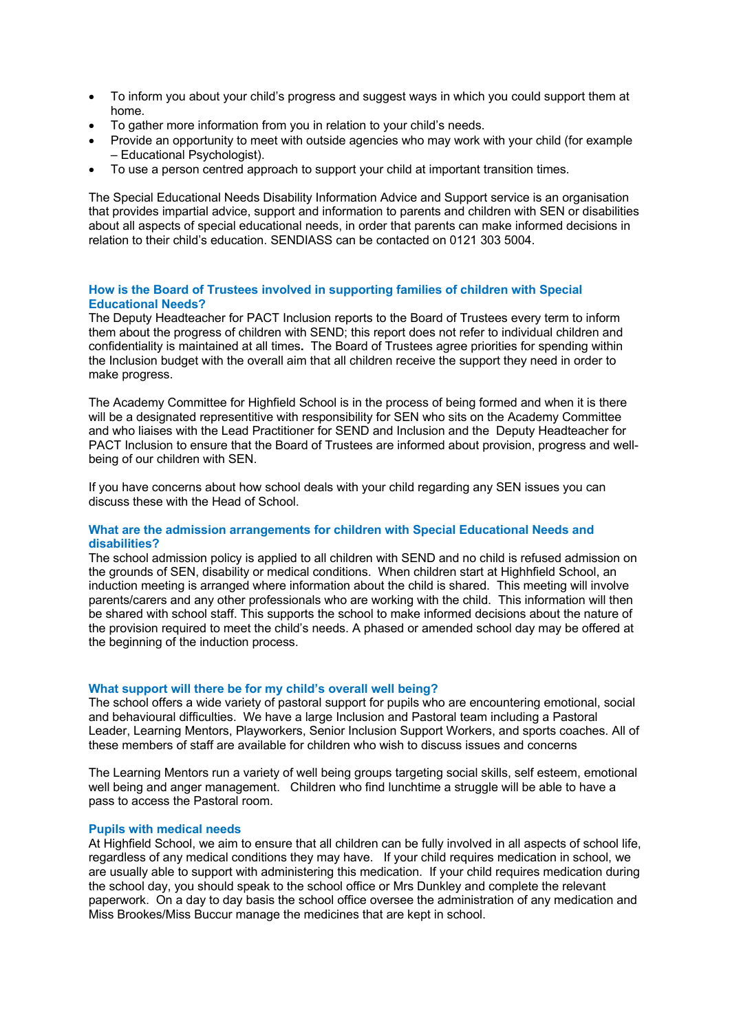- To inform you about your child's progress and suggest ways in which you could support them at home.
- To gather more information from you in relation to your child's needs.
- Provide an opportunity to meet with outside agencies who may work with your child (for example – Educational Psychologist).
- To use a person centred approach to support your child at important transition times.

The Special Educational Needs Disability Information Advice and Support service is an organisation that provides impartial advice, support and information to parents and children with SEN or disabilities about all aspects of special educational needs, in order that parents can make informed decisions in relation to their child's education. SENDIASS can be contacted on 0121 303 5004.

## **How is the Board of Trustees involved in supporting families of children with Special Educational Needs?**

The Deputy Headteacher for PACT Inclusion reports to the Board of Trustees every term to inform them about the progress of children with SEND; this report does not refer to individual children and confidentiality is maintained at all times**.** The Board of Trustees agree priorities for spending within the Inclusion budget with the overall aim that all children receive the support they need in order to make progress.

The Academy Committee for Highfield School is in the process of being formed and when it is there will be a designated representitive with responsibility for SEN who sits on the Academy Committee and who liaises with the Lead Practitioner for SEND and Inclusion and the Deputy Headteacher for PACT Inclusion to ensure that the Board of Trustees are informed about provision, progress and wellbeing of our children with SEN.

If you have concerns about how school deals with your child regarding any SEN issues you can discuss these with the Head of School.

## **What are the admission arrangements for children with Special Educational Needs and disabilities?**

The school admission policy is applied to all children with SEND and no child is refused admission on the grounds of SEN, disability or medical conditions. When children start at Highhfield School, an induction meeting is arranged where information about the child is shared. This meeting will involve parents/carers and any other professionals who are working with the child. This information will then be shared with school staff. This supports the school to make informed decisions about the nature of the provision required to meet the child's needs. A phased or amended school day may be offered at the beginning of the induction process.

#### **What support will there be for my child's overall well being?**

The school offers a wide variety of pastoral support for pupils who are encountering emotional, social and behavioural difficulties. We have a large Inclusion and Pastoral team including a Pastoral Leader, Learning Mentors, Playworkers, Senior Inclusion Support Workers, and sports coaches. All of these members of staff are available for children who wish to discuss issues and concerns

The Learning Mentors run a variety of well being groups targeting social skills, self esteem, emotional well being and anger management. Children who find lunchtime a struggle will be able to have a pass to access the Pastoral room.

#### **Pupils with medical needs**

At Highfield School, we aim to ensure that all children can be fully involved in all aspects of school life, regardless of any medical conditions they may have. If your child requires medication in school, we are usually able to support with administering this medication. If your child requires medication during the school day, you should speak to the school office or Mrs Dunkley and complete the relevant paperwork. On a day to day basis the school office oversee the administration of any medication and Miss Brookes/Miss Buccur manage the medicines that are kept in school.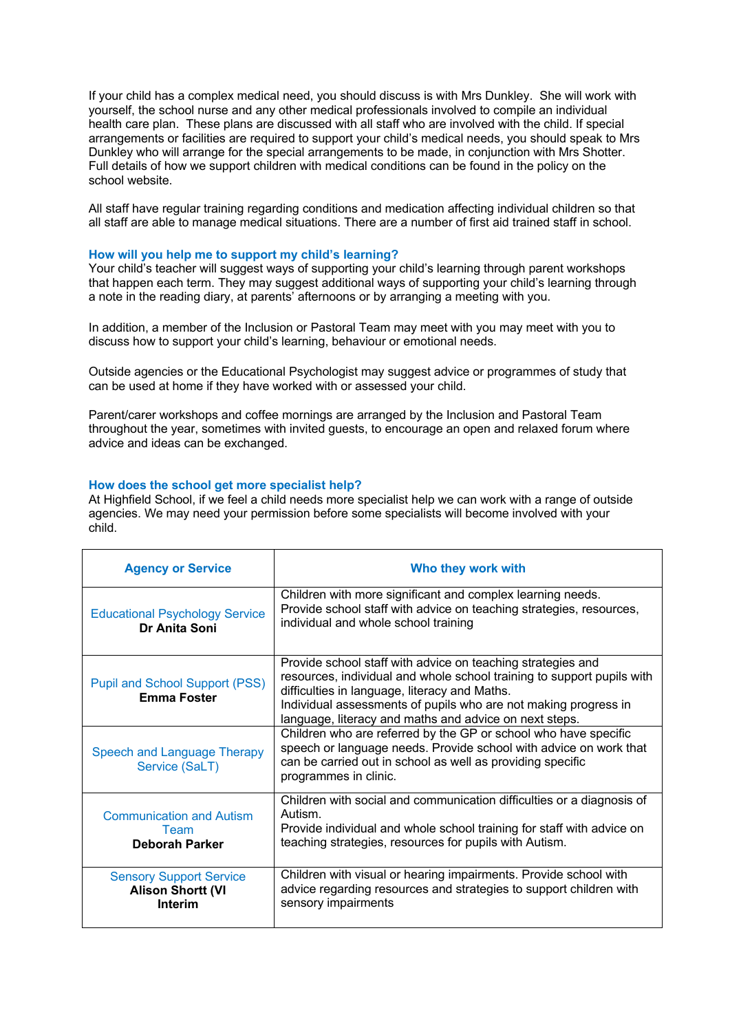If your child has a complex medical need, you should discuss is with Mrs Dunkley. She will work with yourself, the school nurse and any other medical professionals involved to compile an individual health care plan. These plans are discussed with all staff who are involved with the child. If special arrangements or facilities are required to support your child's medical needs, you should speak to Mrs Dunkley who will arrange for the special arrangements to be made, in conjunction with Mrs Shotter. Full details of how we support children with medical conditions can be found in the policy on the school website.

All staff have regular training regarding conditions and medication affecting individual children so that all staff are able to manage medical situations. There are a number of first aid trained staff in school.

#### **How will you help me to support my child's learning?**

Your child's teacher will suggest ways of supporting your child's learning through parent workshops that happen each term. They may suggest additional ways of supporting your child's learning through a note in the reading diary, at parents' afternoons or by arranging a meeting with you.

In addition, a member of the Inclusion or Pastoral Team may meet with you may meet with you to discuss how to support your child's learning, behaviour or emotional needs.

Outside agencies or the Educational Psychologist may suggest advice or programmes of study that can be used at home if they have worked with or assessed your child.

Parent/carer workshops and coffee mornings are arranged by the Inclusion and Pastoral Team throughout the year, sometimes with invited guests, to encourage an open and relaxed forum where advice and ideas can be exchanged.

## **How does the school get more specialist help?**

At Highfield School, if we feel a child needs more specialist help we can work with a range of outside agencies. We may need your permission before some specialists will become involved with your child.

| <b>Agency or Service</b>                                              | Who they work with                                                                                                                                                                                                                                                                                                  |
|-----------------------------------------------------------------------|---------------------------------------------------------------------------------------------------------------------------------------------------------------------------------------------------------------------------------------------------------------------------------------------------------------------|
| <b>Educational Psychology Service</b><br>Dr Anita Soni                | Children with more significant and complex learning needs.<br>Provide school staff with advice on teaching strategies, resources,<br>individual and whole school training                                                                                                                                           |
| <b>Pupil and School Support (PSS)</b><br><b>Emma Foster</b>           | Provide school staff with advice on teaching strategies and<br>resources, individual and whole school training to support pupils with<br>difficulties in language, literacy and Maths.<br>Individual assessments of pupils who are not making progress in<br>language, literacy and maths and advice on next steps. |
| <b>Speech and Language Therapy</b><br>Service (SaLT)                  | Children who are referred by the GP or school who have specific<br>speech or language needs. Provide school with advice on work that<br>can be carried out in school as well as providing specific<br>programmes in clinic.                                                                                         |
| <b>Communication and Autism</b><br>Team<br>Deborah Parker             | Children with social and communication difficulties or a diagnosis of<br>Autism.<br>Provide individual and whole school training for staff with advice on<br>teaching strategies, resources for pupils with Autism.                                                                                                 |
| <b>Sensory Support Service</b><br><b>Alison Shortt (VI</b><br>Interim | Children with visual or hearing impairments. Provide school with<br>advice regarding resources and strategies to support children with<br>sensory impairments                                                                                                                                                       |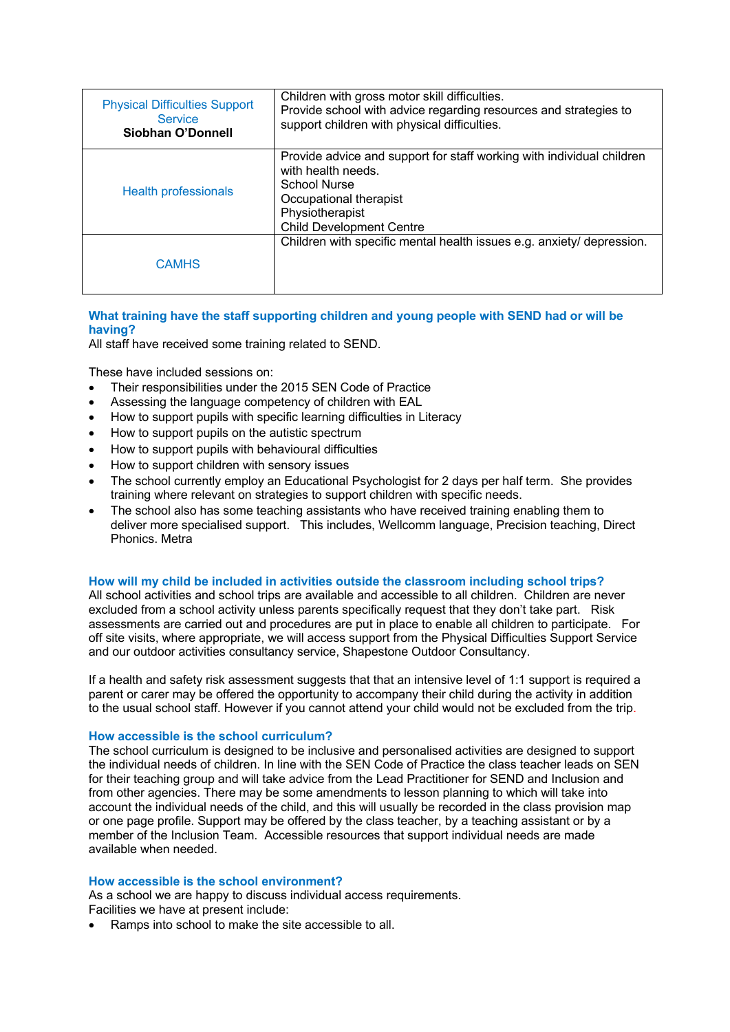| <b>Physical Difficulties Support</b><br><b>Service</b><br>Siobhan O'Donnell | Children with gross motor skill difficulties.<br>Provide school with advice regarding resources and strategies to<br>support children with physical difficulties.                           |
|-----------------------------------------------------------------------------|---------------------------------------------------------------------------------------------------------------------------------------------------------------------------------------------|
| <b>Health professionals</b>                                                 | Provide advice and support for staff working with individual children<br>with health needs.<br>School Nurse<br>Occupational therapist<br>Physiotherapist<br><b>Child Development Centre</b> |
| <b>CAMHS</b>                                                                | Children with specific mental health issues e.g. anxiety/ depression.                                                                                                                       |

# **What training have the staff supporting children and young people with SEND had or will be having?**

All staff have received some training related to SEND.

These have included sessions on:

- Their responsibilities under the 2015 SEN Code of Practice
- Assessing the language competency of children with EAL
- How to support pupils with specific learning difficulties in Literacy
- How to support pupils on the autistic spectrum
- How to support pupils with behavioural difficulties
- How to support children with sensory issues
- The school currently employ an Educational Psychologist for 2 days per half term. She provides training where relevant on strategies to support children with specific needs.
- The school also has some teaching assistants who have received training enabling them to deliver more specialised support. This includes, Wellcomm language, Precision teaching, Direct Phonics. Metra

## **How will my child be included in activities outside the classroom including school trips?**

All school activities and school trips are available and accessible to all children. Children are never excluded from a school activity unless parents specifically request that they don't take part. Risk assessments are carried out and procedures are put in place to enable all children to participate. For off site visits, where appropriate, we will access support from the Physical Difficulties Support Service and our outdoor activities consultancy service, Shapestone Outdoor Consultancy.

If a health and safety risk assessment suggests that that an intensive level of 1:1 support is required a parent or carer may be offered the opportunity to accompany their child during the activity in addition to the usual school staff. However if you cannot attend your child would not be excluded from the trip.

## **How accessible is the school curriculum?**

The school curriculum is designed to be inclusive and personalised activities are designed to support the individual needs of children. In line with the SEN Code of Practice the class teacher leads on SEN for their teaching group and will take advice from the Lead Practitioner for SEND and Inclusion and from other agencies. There may be some amendments to lesson planning to which will take into account the individual needs of the child, and this will usually be recorded in the class provision map or one page profile. Support may be offered by the class teacher, by a teaching assistant or by a member of the Inclusion Team. Accessible resources that support individual needs are made available when needed.

## **How accessible is the school environment?**

As a school we are happy to discuss individual access requirements. Facilities we have at present include:

• Ramps into school to make the site accessible to all.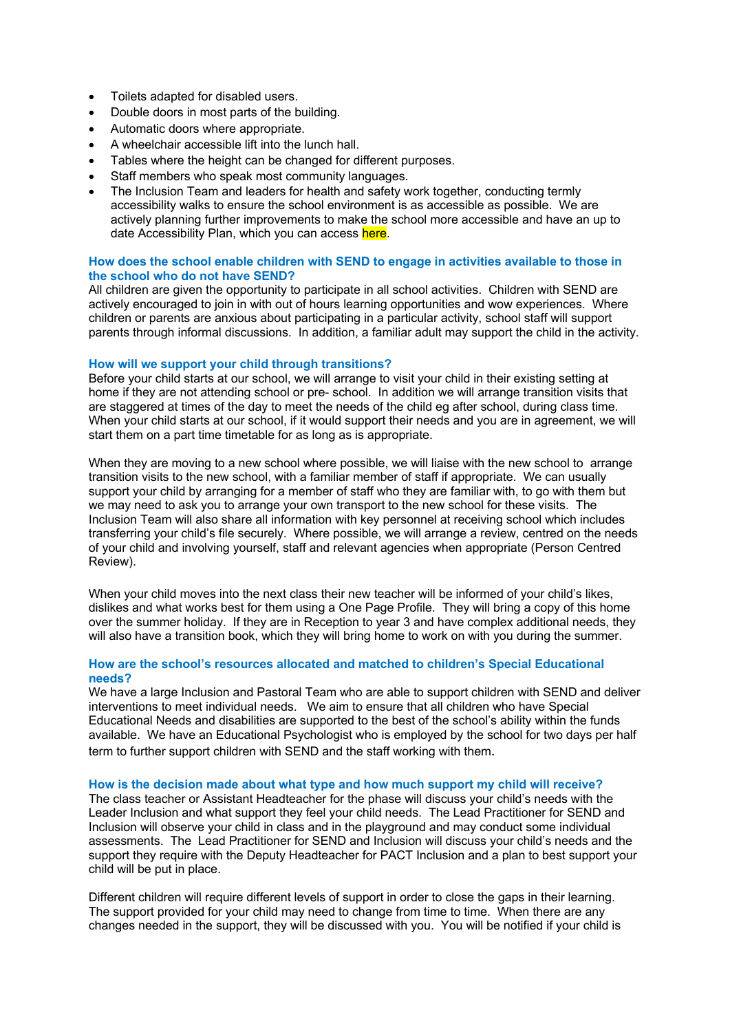- Toilets adapted for disabled users.
- Double doors in most parts of the building.
- Automatic doors where appropriate.
- A wheelchair accessible lift into the lunch hall.
- Tables where the height can be changed for different purposes.
- Staff members who speak most community languages.
- The Inclusion Team and leaders for health and safety work together, conducting termly accessibility walks to ensure the school environment is as accessible as possible. We are actively planning further improvements to make the school more accessible and have an up to date Accessibility Plan, which you can access here.

## **How does the school enable children with SEND to engage in activities available to those in the school who do not have SEND?**

All children are given the opportunity to participate in all school activities. Children with SEND are actively encouraged to join in with out of hours learning opportunities and wow experiences. Where children or parents are anxious about participating in a particular activity, school staff will support parents through informal discussions. In addition, a familiar adult may support the child in the activity.

## **How will we support your child through transitions?**

Before your child starts at our school, we will arrange to visit your child in their existing setting at home if they are not attending school or pre- school. In addition we will arrange transition visits that are staggered at times of the day to meet the needs of the child eg after school, during class time. When your child starts at our school, if it would support their needs and you are in agreement, we will start them on a part time timetable for as long as is appropriate.

When they are moving to a new school where possible, we will liaise with the new school to arrange transition visits to the new school, with a familiar member of staff if appropriate. We can usually support your child by arranging for a member of staff who they are familiar with, to go with them but we may need to ask you to arrange your own transport to the new school for these visits. The Inclusion Team will also share all information with key personnel at receiving school which includes transferring your child's file securely. Where possible, we will arrange a review, centred on the needs of your child and involving yourself, staff and relevant agencies when appropriate (Person Centred Review).

When your child moves into the next class their new teacher will be informed of your child's likes, dislikes and what works best for them using a One Page Profile. They will bring a copy of this home over the summer holiday. If they are in Reception to year 3 and have complex additional needs, they will also have a transition book, which they will bring home to work on with you during the summer.

## **How are the school's resources allocated and matched to children's Special Educational needs?**

We have a large Inclusion and Pastoral Team who are able to support children with SEND and deliver interventions to meet individual needs. We aim to ensure that all children who have Special Educational Needs and disabilities are supported to the best of the school's ability within the funds available. We have an Educational Psychologist who is employed by the school for two days per half term to further support children with SEND and the staff working with them.

## **How is the decision made about what type and how much support my child will receive?**

The class teacher or Assistant Headteacher for the phase will discuss your child's needs with the Leader Inclusion and what support they feel your child needs. The Lead Practitioner for SEND and Inclusion will observe your child in class and in the playground and may conduct some individual assessments. The Lead Practitioner for SEND and Inclusion will discuss your child's needs and the support they require with the Deputy Headteacher for PACT Inclusion and a plan to best support your child will be put in place.

Different children will require different levels of support in order to close the gaps in their learning. The support provided for your child may need to change from time to time. When there are any changes needed in the support, they will be discussed with you. You will be notified if your child is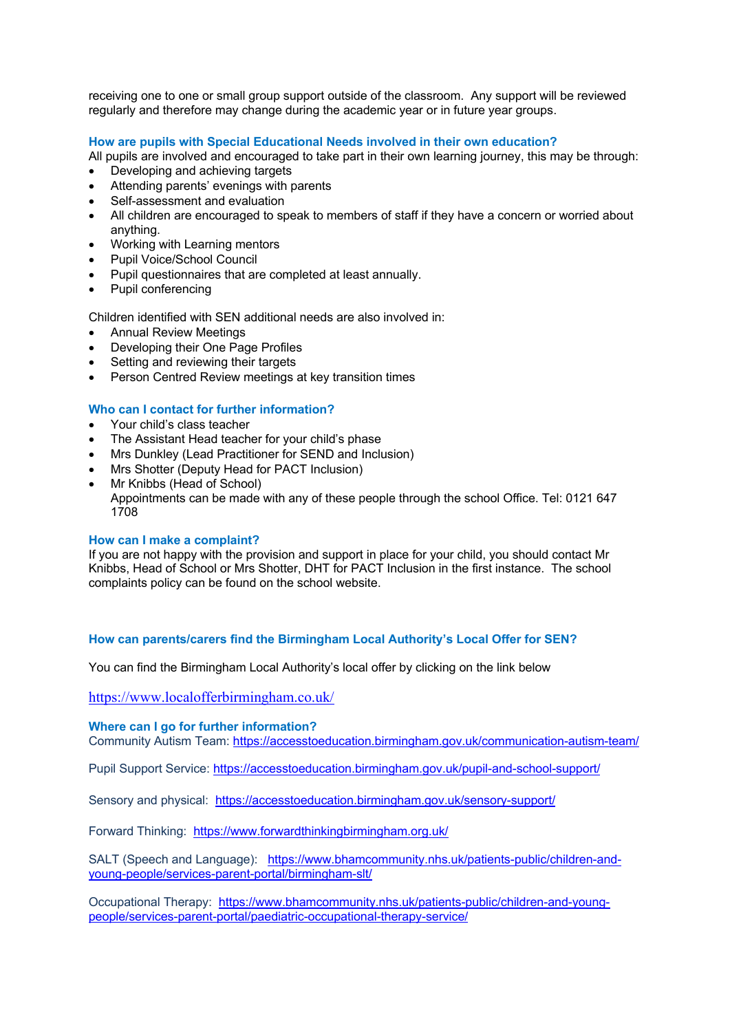receiving one to one or small group support outside of the classroom. Any support will be reviewed regularly and therefore may change during the academic year or in future year groups.

# **How are pupils with Special Educational Needs involved in their own education?**

All pupils are involved and encouraged to take part in their own learning journey, this may be through:

- Developing and achieving targets
- Attending parents' evenings with parents
- Self-assessment and evaluation
- All children are encouraged to speak to members of staff if they have a concern or worried about anything.
- Working with Learning mentors
- Pupil Voice/School Council
- Pupil questionnaires that are completed at least annually.
- Pupil conferencing

Children identified with SEN additional needs are also involved in:

- Annual Review Meetings
- Developing their One Page Profiles
- Setting and reviewing their targets
- Person Centred Review meetings at key transition times

# **Who can I contact for further information?**

- Your child's class teacher
- The Assistant Head teacher for your child's phase
- Mrs Dunkley (Lead Practitioner for SEND and Inclusion)
- Mrs Shotter (Deputy Head for PACT Inclusion)
- Mr Knibbs (Head of School)

Appointments can be made with any of these people through the school Office. Tel: 0121 647 1708

## **How can I make a complaint?**

If you are not happy with the provision and support in place for your child, you should contact Mr Knibbs, Head of School or Mrs Shotter, DHT for PACT Inclusion in the first instance. The school complaints policy can be found on the school website.

# **How can parents/carers find the Birmingham Local Authority's Local Offer for SEN?**

You can find the Birmingham Local Authority's local offer by clicking on the link below

https://www.localofferbirmingham.co.uk/

## **Where can I go for further information?**

Community Autism Team: https://accesstoeducation.birmingham.gov.uk/communication-autism-team/

Pupil Support Service: https://accesstoeducation.birmingham.gov.uk/pupil-and-school-support/

Sensory and physical: https://accesstoeducation.birmingham.gov.uk/sensory-support/

Forward Thinking: https://www.forwardthinkingbirmingham.org.uk/

SALT (Speech and Language): https://www.bhamcommunity.nhs.uk/patients-public/children-andyoung-people/services-parent-portal/birmingham-slt/

Occupational Therapy: https://www.bhamcommunity.nhs.uk/patients-public/children-and-youngpeople/services-parent-portal/paediatric-occupational-therapy-service/